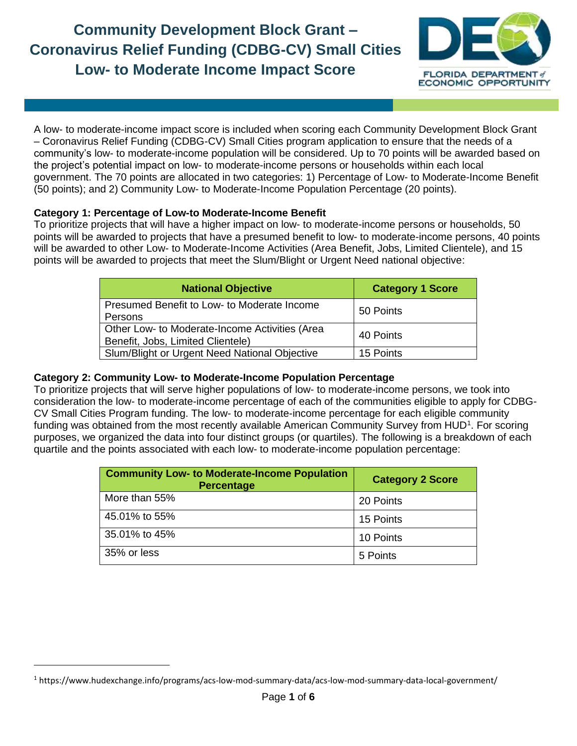## **Community Development Block Grant – Coronavirus Relief Funding (CDBG-CV) Small Cities Low- to Moderate Income Impact Score**



A low- to moderate-income impact score is included when scoring each Community Development Block Grant – Coronavirus Relief Funding (CDBG-CV) Small Cities program application to ensure that the needs of a community's low- to moderate-income population will be considered. Up to 70 points will be awarded based on the project's potential impact on low- to moderate-income persons or households within each local government. The 70 points are allocated in two categories: 1) Percentage of Low- to Moderate-Income Benefit (50 points); and 2) Community Low- to Moderate-Income Population Percentage (20 points).

## **Category 1: Percentage of Low-to Moderate-Income Benefit**

To prioritize projects that will have a higher impact on low- to moderate-income persons or households, 50 points will be awarded to projects that have a presumed benefit to low- to moderate-income persons, 40 points will be awarded to other Low- to Moderate-Income Activities (Area Benefit, Jobs, Limited Clientele), and 15 points will be awarded to projects that meet the Slum/Blight or Urgent Need national objective:

| <b>National Objective</b>                                                           | <b>Category 1 Score</b> |
|-------------------------------------------------------------------------------------|-------------------------|
| Presumed Benefit to Low- to Moderate Income<br>Persons                              | 50 Points               |
| Other Low- to Moderate-Income Activities (Area<br>Benefit, Jobs, Limited Clientele) | 40 Points               |
| Slum/Blight or Urgent Need National Objective                                       | 15 Points               |

## **Category 2: Community Low- to Moderate-Income Population Percentage**

To prioritize projects that will serve higher populations of low- to moderate-income persons, we took into consideration the low- to moderate-income percentage of each of the communities eligible to apply for CDBG-CV Small Cities Program funding. The low- to moderate-income percentage for each eligible community funding was obtained from the most recently available American Community Survey from HUD<sup>1</sup>. For scoring purposes, we organized the data into four distinct groups (or quartiles). The following is a breakdown of each quartile and the points associated with each low- to moderate-income population percentage:

| <b>Community Low- to Moderate-Income Population</b><br><b>Percentage</b> | <b>Category 2 Score</b> |
|--------------------------------------------------------------------------|-------------------------|
| More than 55%                                                            | 20 Points               |
| 45.01% to 55%                                                            | 15 Points               |
| 35.01% to 45%                                                            | 10 Points               |
| 35% or less                                                              | 5 Points                |

<sup>1</sup> https://www.hudexchange.info/programs/acs-low-mod-summary-data/acs-low-mod-summary-data-local-government/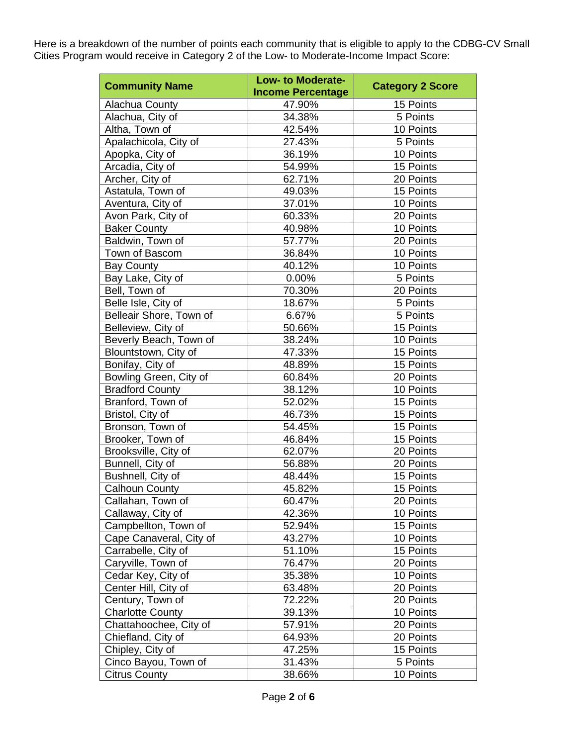Here is a breakdown of the number of points each community that is eligible to apply to the CDBG-CV Small Cities Program would receive in Category 2 of the Low- to Moderate-Income Impact Score:

| <b>Community Name</b>   | <b>Low- to Moderate-</b> | <b>Category 2 Score</b> |
|-------------------------|--------------------------|-------------------------|
|                         | <b>Income Percentage</b> |                         |
| Alachua County          | 47.90%                   | 15 Points               |
| Alachua, City of        | 34.38%                   | 5 Points                |
| Altha, Town of          | 42.54%                   | 10 Points               |
| Apalachicola, City of   | 27.43%                   | 5 Points                |
| Apopka, City of         | 36.19%                   | 10 Points               |
| Arcadia, City of        | 54.99%                   | 15 Points               |
| Archer, City of         | 62.71%                   | 20 Points               |
| Astatula, Town of       | 49.03%                   | 15 Points               |
| Aventura, City of       | 37.01%                   | 10 Points               |
| Avon Park, City of      | 60.33%                   | 20 Points               |
| <b>Baker County</b>     | 40.98%                   | 10 Points               |
| Baldwin, Town of        | 57.77%                   | 20 Points               |
| Town of Bascom          | 36.84%                   | 10 Points               |
| <b>Bay County</b>       | 40.12%                   | 10 Points               |
| Bay Lake, City of       | 0.00%                    | 5 Points                |
| Bell, Town of           | 70.30%                   | 20 Points               |
| Belle Isle, City of     | 18.67%                   | 5 Points                |
| Belleair Shore, Town of | 6.67%                    | 5 Points                |
| Belleview, City of      | 50.66%                   | 15 Points               |
| Beverly Beach, Town of  | 38.24%                   | 10 Points               |
| Blountstown, City of    | 47.33%                   | 15 Points               |
| Bonifay, City of        | 48.89%                   | 15 Points               |
| Bowling Green, City of  | 60.84%                   | 20 Points               |
| <b>Bradford County</b>  | 38.12%                   | 10 Points               |
| Branford, Town of       | 52.02%                   | 15 Points               |
| Bristol, City of        | 46.73%                   | 15 Points               |
| Bronson, Town of        | 54.45%                   | 15 Points               |
| Brooker, Town of        | 46.84%                   | 15 Points               |
| Brooksville, City of    | 62.07%                   | 20 Points               |
| Bunnell, City of        | 56.88%                   | 20 Points               |
| Bushnell, City of       | 48.44%                   | 15 Points               |
| <b>Calhoun County</b>   | 45.82%                   | 15 Points               |
|                         |                          |                         |
| Callahan, Town of       | 60.47%                   | 20 Points               |
| Callaway, City of       | 42.36%                   | 10 Points               |
| Campbellton, Town of    | 52.94%                   | 15 Points               |
| Cape Canaveral, City of | 43.27%                   | 10 Points               |
| Carrabelle, City of     | 51.10%                   | 15 Points               |
| Caryville, Town of      | 76.47%                   | 20 Points               |
| Cedar Key, City of      | 35.38%                   | 10 Points               |
| Center Hill, City of    | 63.48%                   | 20 Points               |
| Century, Town of        | 72.22%                   | 20 Points               |
| <b>Charlotte County</b> | 39.13%                   | 10 Points               |
| Chattahoochee, City of  | 57.91%                   | 20 Points               |
| Chiefland, City of      | 64.93%                   | 20 Points               |
| Chipley, City of        | 47.25%                   | 15 Points               |
| Cinco Bayou, Town of    | 31.43%                   | 5 Points                |
| <b>Citrus County</b>    | 38.66%                   | 10 Points               |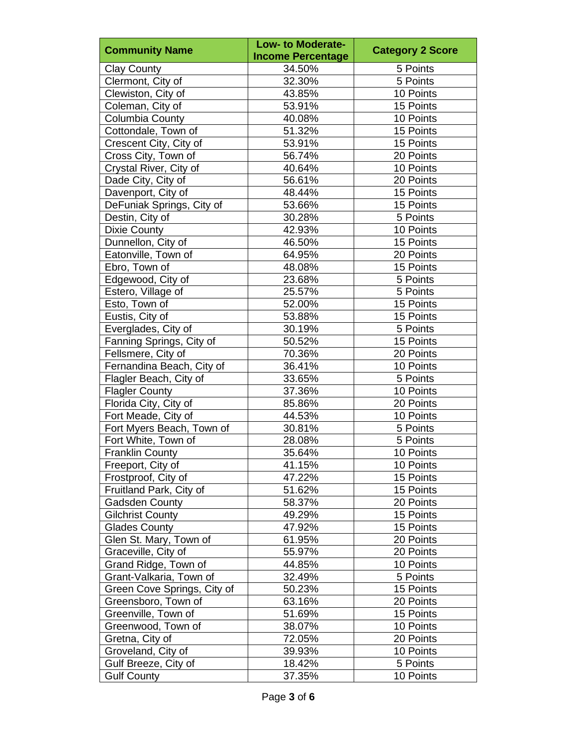|                             | Low- to Moderate-        |                         |
|-----------------------------|--------------------------|-------------------------|
| <b>Community Name</b>       | <b>Income Percentage</b> | <b>Category 2 Score</b> |
| <b>Clay County</b>          | 34.50%                   | 5 Points                |
| Clermont, City of           | 32.30%                   | 5 Points                |
| Clewiston, City of          | 43.85%                   | 10 Points               |
| Coleman, City of            | 53.91%                   | 15 Points               |
| Columbia County             | 40.08%                   | 10 Points               |
| Cottondale, Town of         | 51.32%                   | 15 Points               |
| Crescent City, City of      | 53.91%                   | 15 Points               |
| Cross City, Town of         | 56.74%                   | 20 Points               |
| Crystal River, City of      | 40.64%                   | 10 Points               |
| Dade City, City of          | 56.61%                   | 20 Points               |
| Davenport, City of          | 48.44%                   | 15 Points               |
| DeFuniak Springs, City of   | 53.66%                   | 15 Points               |
| Destin, City of             | 30.28%                   | 5 Points                |
| <b>Dixie County</b>         | 42.93%                   | 10 Points               |
| Dunnellon, City of          | 46.50%                   | 15 Points               |
| Eatonville, Town of         | 64.95%                   | 20 Points               |
| Ebro, Town of               | 48.08%                   | 15 Points               |
| Edgewood, City of           | 23.68%                   | 5 Points                |
| Estero, Village of          | 25.57%                   | 5 Points                |
| Esto, Town of               | 52.00%                   | 15 Points               |
| Eustis, City of             | 53.88%                   | 15 Points               |
| Everglades, City of         | 30.19%                   | 5 Points                |
| Fanning Springs, City of    | 50.52%                   | 15 Points               |
| Fellsmere, City of          | 70.36%                   | 20 Points               |
| Fernandina Beach, City of   | 36.41%                   | 10 Points               |
| Flagler Beach, City of      | 33.65%                   | 5 Points                |
| <b>Flagler County</b>       | 37.36%                   | 10 Points               |
| Florida City, City of       | 85.86%                   | 20 Points               |
| Fort Meade, City of         | 44.53%                   | 10 Points               |
| Fort Myers Beach, Town of   | 30.81%                   | 5 Points                |
| Fort White, Town of         | 28.08%                   | 5 Points                |
| <b>Franklin County</b>      | 35.64%                   | 10 Points               |
| Freeport, City of           | 41.15%                   | 10 Points               |
| Frostproof, City of         | 47.22%                   | 15 Points               |
| Fruitland Park, City of     | 51.62%                   | 15 Points               |
| Gadsden County              | 58.37%                   | 20 Points               |
| <b>Gilchrist County</b>     | 49.29%                   | 15 Points               |
| <b>Glades County</b>        | 47.92%                   | 15 Points               |
| Glen St. Mary, Town of      | 61.95%                   | 20 Points               |
| Graceville, City of         | 55.97%                   | 20 Points               |
| Grand Ridge, Town of        | 44.85%                   | 10 Points               |
| Grant-Valkaria, Town of     | 32.49%                   | 5 Points                |
| Green Cove Springs, City of | 50.23%                   | 15 Points               |
| Greensboro, Town of         | 63.16%                   | 20 Points               |
| Greenville, Town of         | 51.69%                   | 15 Points               |
| Greenwood, Town of          | 38.07%                   | 10 Points               |
| Gretna, City of             | 72.05%                   | 20 Points               |
| Groveland, City of          | 39.93%                   | 10 Points               |
| Gulf Breeze, City of        | 18.42%                   | 5 Points                |
| <b>Gulf County</b>          | 37.35%                   | 10 Points               |
|                             |                          |                         |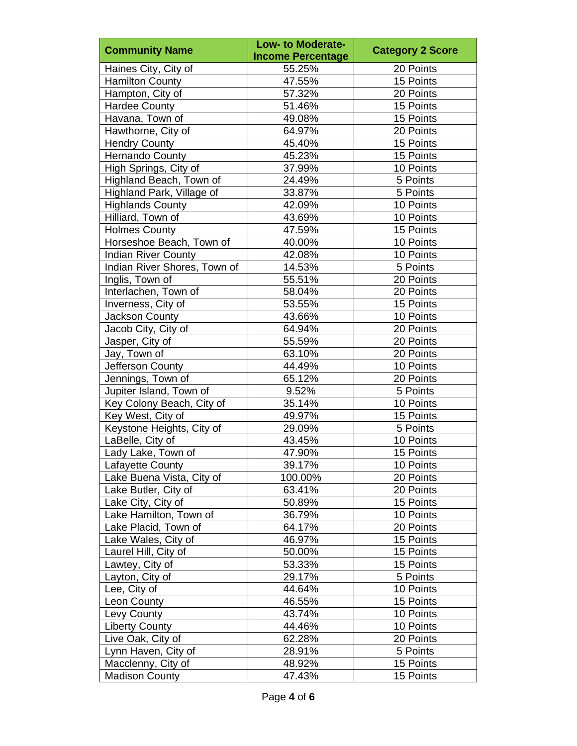|                              | <b>Low- to Moderate-</b> |                         |
|------------------------------|--------------------------|-------------------------|
| <b>Community Name</b>        | <b>Income Percentage</b> | <b>Category 2 Score</b> |
| Haines City, City of         | 55.25%                   | 20 Points               |
| Hamilton County              | 47.55%                   | 15 Points               |
| Hampton, City of             | 57.32%                   | 20 Points               |
| <b>Hardee County</b>         | 51.46%                   | 15 Points               |
| Havana, Town of              | 49.08%                   | 15 Points               |
| Hawthorne, City of           | 64.97%                   | 20 Points               |
| <b>Hendry County</b>         | 45.40%                   | 15 Points               |
| <b>Hernando County</b>       | 45.23%                   | 15 Points               |
| High Springs, City of        | 37.99%                   | 10 Points               |
| Highland Beach, Town of      | 24.49%                   | 5 Points                |
| Highland Park, Village of    | 33.87%                   | 5 Points                |
| <b>Highlands County</b>      | 42.09%                   | 10 Points               |
| Hilliard, Town of            | 43.69%                   | 10 Points               |
| <b>Holmes County</b>         | 47.59%                   | 15 Points               |
| Horseshoe Beach, Town of     | 40.00%                   | 10 Points               |
| <b>Indian River County</b>   | 42.08%                   | 10 Points               |
| Indian River Shores, Town of | 14.53%                   | 5 Points                |
| Inglis, Town of              | 55.51%                   | 20 Points               |
| Interlachen, Town of         | 58.04%                   | 20 Points               |
| Inverness, City of           | 53.55%                   | 15 Points               |
| Jackson County               | 43.66%                   | 10 Points               |
| Jacob City, City of          | 64.94%                   | 20 Points               |
| Jasper, City of              | 55.59%                   | 20 Points               |
| Jay, Town of                 | 63.10%                   | 20 Points               |
| Jefferson County             | 44.49%                   | 10 Points               |
| Jennings, Town of            | 65.12%                   | 20 Points               |
| Jupiter Island, Town of      | 9.52%                    | 5 Points                |
| Key Colony Beach, City of    | 35.14%                   | 10 Points               |
| Key West, City of            | 49.97%                   | 15 Points               |
| Keystone Heights, City of    | 29.09%                   | 5 Points                |
| LaBelle, City of             | 43.45%                   | 10 Points               |
| Lady Lake, Town of           | 47.90%                   | 15 Points               |
| Lafayette County             | 39.17%                   | 10 Points               |
| Lake Buena Vista, City of    | 100.00%                  | 20 Points               |
| Lake Butler, City of         | 63.41%                   | 20 Points               |
| Lake City, City of           | 50.89%                   | 15 Points               |
| Lake Hamilton, Town of       | 36.79%                   | 10 Points               |
| Lake Placid, Town of         | 64.17%                   | 20 Points               |
| Lake Wales, City of          | 46.97%                   | 15 Points               |
| Laurel Hill, City of         | 50.00%                   | 15 Points               |
| Lawtey, City of              | 53.33%                   | 15 Points               |
| Layton, City of              | 29.17%                   | 5 Points                |
| Lee, City of                 | 44.64%                   | 10 Points               |
| Leon County                  | 46.55%                   | 15 Points               |
| Levy County                  | 43.74%                   | 10 Points               |
| <b>Liberty County</b>        | 44.46%                   | 10 Points               |
| Live Oak, City of            | 62.28%                   | 20 Points               |
| Lynn Haven, City of          | 28.91%                   | 5 Points                |
| Macclenny, City of           | 48.92%                   | 15 Points               |
| <b>Madison County</b>        | 47.43%                   | 15 Points               |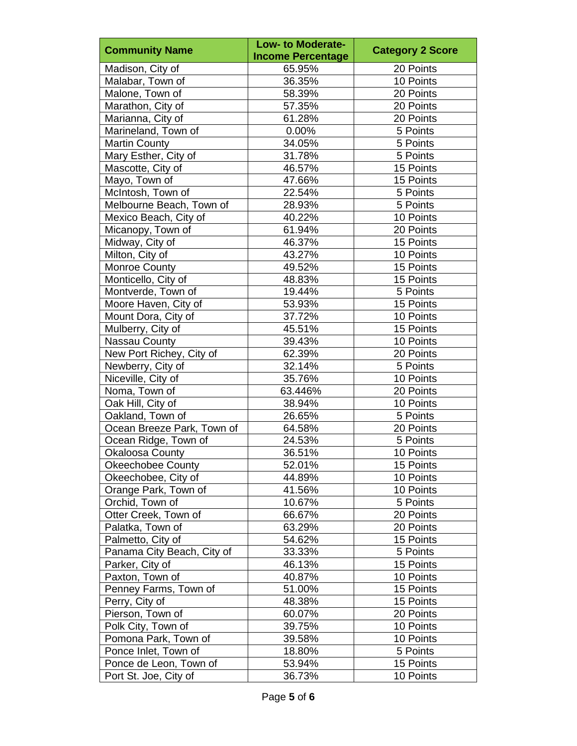|                            | <b>Low- to Moderate-</b> |                         |
|----------------------------|--------------------------|-------------------------|
| <b>Community Name</b>      | <b>Income Percentage</b> | <b>Category 2 Score</b> |
| Madison, City of           | 65.95%                   | 20 Points               |
| Malabar, Town of           | 36.35%                   | 10 Points               |
| Malone, Town of            | 58.39%                   | 20 Points               |
| Marathon, City of          | 57.35%                   | 20 Points               |
| Marianna, City of          | 61.28%                   | 20 Points               |
| Marineland, Town of        | 0.00%                    | 5 Points                |
| <b>Martin County</b>       | 34.05%                   | 5 Points                |
| Mary Esther, City of       | 31.78%                   | 5 Points                |
| Mascotte, City of          | 46.57%                   | 15 Points               |
| Mayo, Town of              | 47.66%                   | 15 Points               |
| McIntosh, Town of          | 22.54%                   | 5 Points                |
| Melbourne Beach, Town of   | 28.93%                   | 5 Points                |
| Mexico Beach, City of      | 40.22%                   | 10 Points               |
| Micanopy, Town of          | 61.94%                   | 20 Points               |
| Midway, City of            | 46.37%                   | 15 Points               |
| Milton, City of            | 43.27%                   | 10 Points               |
| <b>Monroe County</b>       | 49.52%                   | 15 Points               |
| Monticello, City of        | 48.83%                   | 15 Points               |
| Montverde, Town of         | 19.44%                   | 5 Points                |
| Moore Haven, City of       | 53.93%                   | 15 Points               |
| Mount Dora, City of        | 37.72%                   | 10 Points               |
| Mulberry, City of          | 45.51%                   | 15 Points               |
| Nassau County              | 39.43%                   | 10 Points               |
| New Port Richey, City of   | 62.39%                   | 20 Points               |
| Newberry, City of          | 32.14%                   | 5 Points                |
| Niceville, City of         | 35.76%                   | 10 Points               |
| Noma, Town of              | 63.446%                  | 20 Points               |
| Oak Hill, City of          | 38.94%                   | 10 Points               |
| Oakland, Town of           | 26.65%                   | 5 Points                |
| Ocean Breeze Park, Town of | 64.58%                   | 20 Points               |
| Ocean Ridge, Town of       | 24.53%                   | 5 Points                |
| <b>Okaloosa County</b>     | 36.51%                   | 10 Points               |
| <b>Okeechobee County</b>   | 52.01%                   | 15 Points               |
| Okeechobee, City of        | 44.89%                   | 10 Points               |
| Orange Park, Town of       | 41.56%                   | 10 Points               |
| Orchid, Town of            | 10.67%                   | 5 Points                |
| Otter Creek, Town of       | 66.67%                   | 20 Points               |
| Palatka, Town of           | 63.29%                   | 20 Points               |
| Palmetto, City of          | 54.62%                   | 15 Points               |
| Panama City Beach, City of | 33.33%                   | 5 Points                |
| Parker, City of            | 46.13%                   | 15 Points               |
| Paxton, Town of            | 40.87%                   | 10 Points               |
| Penney Farms, Town of      | 51.00%                   | 15 Points               |
| Perry, City of             | 48.38%                   | 15 Points               |
| Pierson, Town of           | 60.07%                   | 20 Points               |
| Polk City, Town of         | 39.75%                   | 10 Points               |
| Pomona Park, Town of       | 39.58%                   | 10 Points               |
| Ponce Inlet, Town of       | 18.80%                   | 5 Points                |
| Ponce de Leon, Town of     | 53.94%                   | 15 Points               |
| Port St. Joe, City of      | 36.73%                   | 10 Points               |